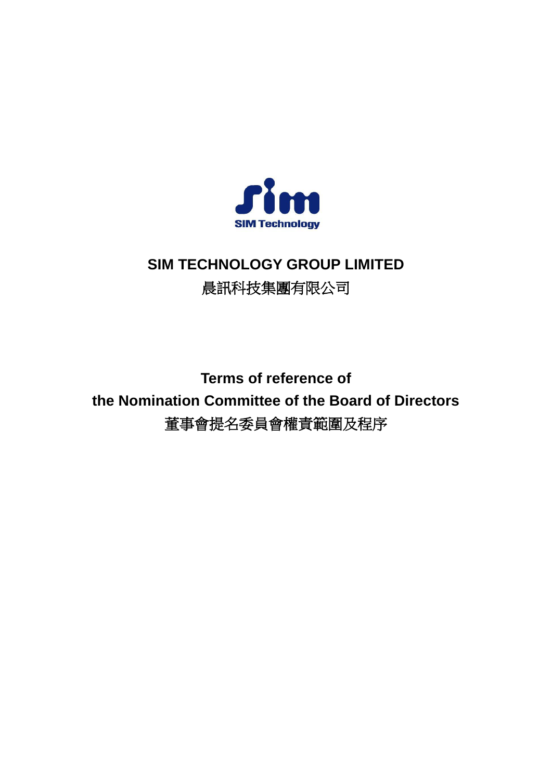

# **SIM TECHNOLOGY GROUP LIMITED** 晨訊科技集團有限公司

**Terms of reference of the Nomination Committee of the Board of Directors** 董事會提名委員會權責範圍及程序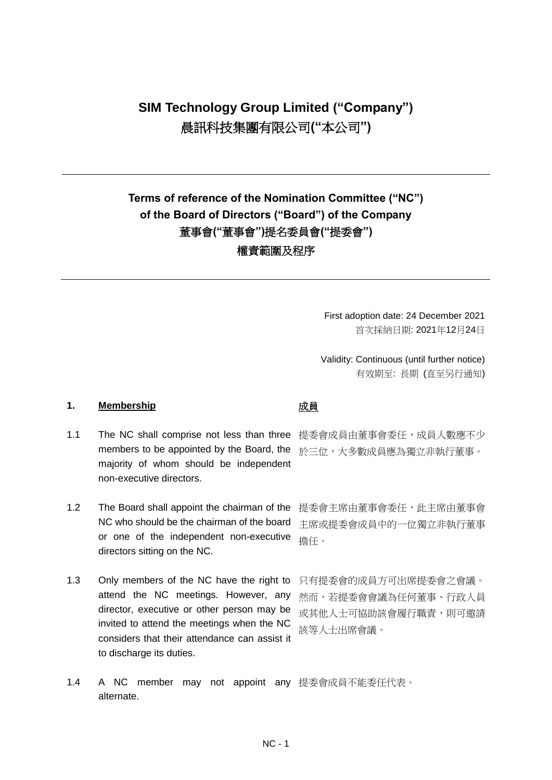# **SIM Technology Group Limited ("Company")** 晨訊科技集團有限公司**("**本公司**")**

## **Terms of reference of the Nomination Committee ("NC") of the Board of Directors ("Board") of the Company** 董事會**("**董事會**")**提名委員會**("**提委會**")** 權責範圍及程序

First adoption date: 24 December 2021 首次採納日期: 2021年12月24日

Validity: Continuous (until further notice) 有效期至: 長期 (直至另行通知)

### 1. **Membership 1. め** 成員

- 1.1 The NC shall comprise not less than three 提委會成員由董事會委任, 成員人數應不少 members to be appointed by the Board, the 於三位,大多數成員應為獨立非執行董事。 majority of whom should be independent non-executive directors.
- 1.2 The Board shall appoint the chairman of the NC who should be the chairman of the board or one of the independent non-executive directors sitting on the NC.
- 1.3 Only members of the NC have the right to attend the NC meetings. However, any director, executive or other person may be invited to attend the meetings when the NC considers that their attendance can assist it to discharge its duties.

提委會主席由董事會委任,此主席由董事會 主席或提委會成員中的一位獨立非執行董事 擔任。

只有提委會的成員方可出席提委會之會議。 然而,若提委會會議為任何董事、行政人員 或其他人士可協助該會履行職責,則可邀請 該等人士出席會議。

1.4 A NC member may not appoint any 提委會成員不能委任代表。alternate.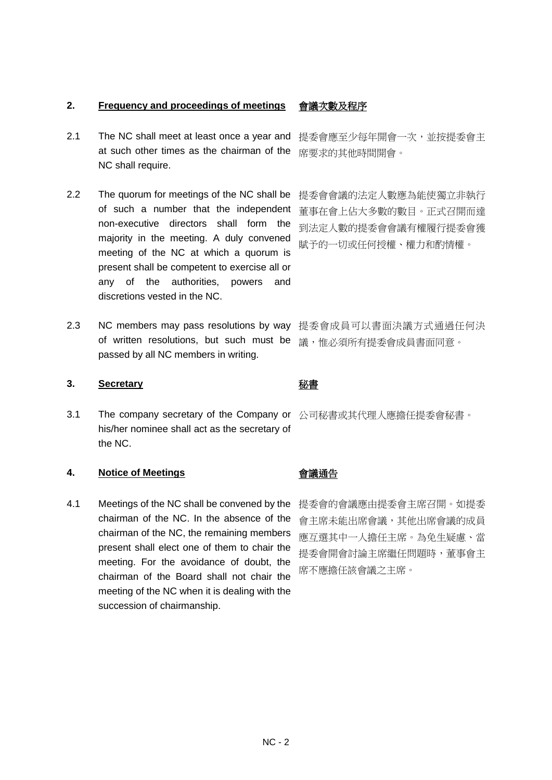### **2. Frequency and proceedings of meetings** 會議次數及程序

- 2.1 The NC shall meet at least once a year and at such other times as the chairman of the NC shall require.
- 2.2 The quorum for meetings of the NC shall be of such a number that the independent non-executive directors shall form the majority in the meeting. A duly convened meeting of the NC at which a quorum is present shall be competent to exercise all or any of the authorities, powers and discretions vested in the NC.
- 2.3 NC members may pass resolutions by way 提委會成員可以書面決議方式通過任何決 of written resolutions, but such must be passed by all NC members in writing.

### **3. Secretary** 秘書

3.1 The company secretary of the Company or 公司秘書或其代理人應擔任提委會秘書。 his/her nominee shall act as the secretary of the NC.

### **4. Notice of Meetings** 會議通告

4.1 Meetings of the NC shall be convened by the chairman of the NC. In the absence of the chairman of the NC, the remaining members present shall elect one of them to chair the meeting. For the avoidance of doubt, the chairman of the Board shall not chair the meeting of the NC when it is dealing with the succession of chairmanship.

提委會應至少每年開會一次,並按提委會主 席要求的其他時間開會。

提委會會議的法定人數應為能使獨立非執行 董事在會上佔大多數的數目。正式召開而達 到法定人數的提委會會議有權履行提委會獲 賦予的一切或任何授權、權力和酌情權。

議,惟必須所有提委會成員書面同意。

提委會的會議應由提委會主席召開。如提委 會主席未能出席會議,其他出席會議的成員 應互選其中一人擔任主席。為免生疑慮、當 提委會開會討論主席繼任問題時,董事會主 席不應擔任該會議之主席。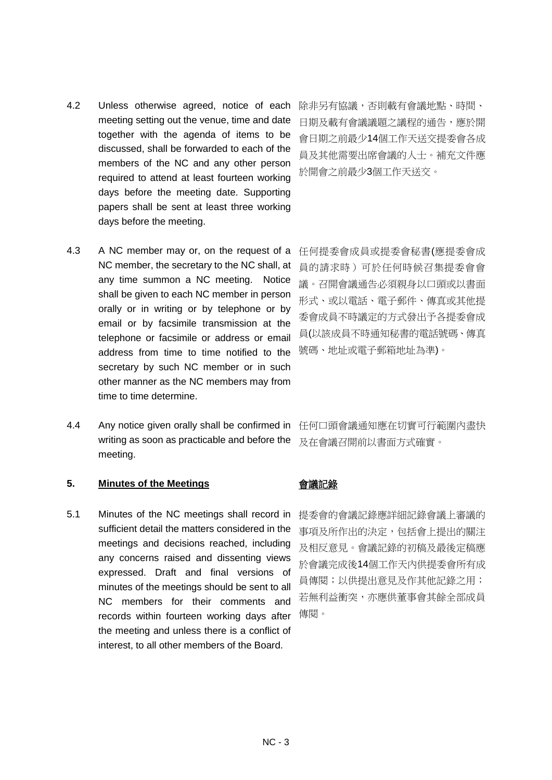discussed, shall be forwarded to each of the members of the NC and any other person required to attend at least fourteen working days before the meeting date. Supporting papers shall be sent at least three working days before the meeting. 4.3 A NC member may or, on the request of a

4.2 Unless otherwise agreed, notice of each

meeting setting out the venue, time and date together with the agenda of items to be

- NC member, the secretary to the NC shall, at any time summon a NC meeting. Notice shall be given to each NC member in person orally or in writing or by telephone or by email or by facsimile transmission at the telephone or facsimile or address or email address from time to time notified to the secretary by such NC member or in such other manner as the NC members may from time to time determine.
- 4.4 Any notice given orally shall be confirmed in writing as soon as practicable and before the meeting.

### **5. Minutes of the Meetings** 會議記錄

5.1 Minutes of the NC meetings shall record in sufficient detail the matters considered in the meetings and decisions reached, including any concerns raised and dissenting views expressed. Draft and final versions of minutes of the meetings should be sent to all NC members for their comments and records within fourteen working days after the meeting and unless there is a conflict of interest, to all other members of the Board.

除非另有協議,否則載有會議地點、時間、 日期及載有會議議題之議程的通告,應於開 會日期之前最少14個工作天送交提委會各成 員及其他需要出席會議的人士。補充文件應 於開會之前最少3個工作天送交。

任何提委會成員或提委會秘書(應提委會成 員的請求時)可於任何時候召集提委會會 議。召開會議通告必須親身以口頭或以書面 形式、或以電話、電子郵件、傳真或其他提 委會成員不時議定的方式發出予各提委會成 員(以該成員不時通知秘書的電話號碼、傳真 號碼、地址或電子郵箱地址為準)。

任何口頭會議通知應在切實可行範圍內盡快 及在會議召開前以書面方式確實。

提委會的會議記錄應詳細記錄會議上審議的 事項及所作出的決定,包括會上提出的關注 及相反意見。會議記錄的初稿及最後定稿應 於會議完成後14個工作天內供提委會所有成 員傳閱;以供提出意見及作其他記錄之用; 若無利益衝突,亦應供董事會其餘全部成員 傳閱。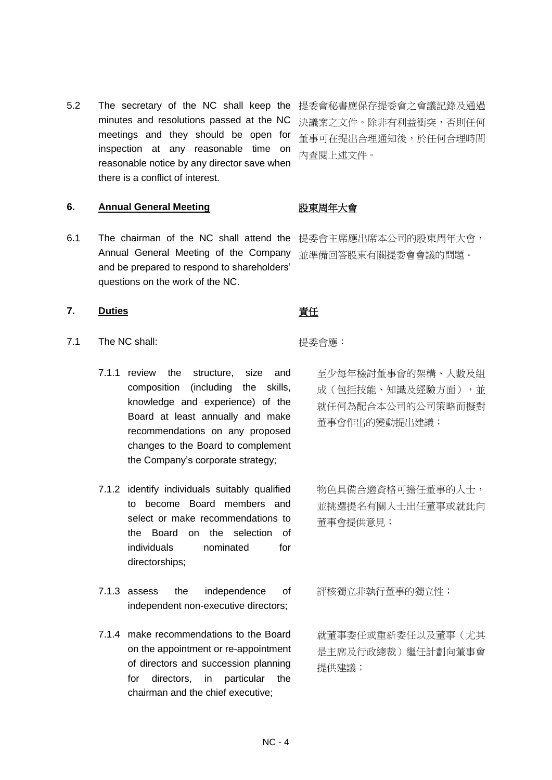5.2 The secretary of the NC shall keep the 提委會秘書應保存提委會之會議記錄及通過 minutes and resolutions passed at the NC meetings and they should be open for inspection at any reasonable time on reasonable notice by any director save when there is a conflict of interest.

決議案之文件。除非有利益衝突,否則任何 董事可在提出合理通知後,於任何合理時間 內查閱上述文件。

### **6. Annual General Meeting** 股東周年大會

6.1 The chairman of the NC shall attend the 提委會主席應出席本公司的股東周年大會, Annual General Meeting of the Company and be prepared to respond to shareholders' questions on the work of the NC.

- 7.1 The NC shall: **Example 20** and the H<sub>app</sub> and the Handburg and the Handburg <sub>·</sub>
	- 7.1.1 review the structure, size and composition (including the skills, knowledge and experience) of the Board at least annually and make recommendations on any proposed changes to the Board to complement the Company's corporate strategy;
	- 7.1.2 identify individuals suitably qualified to become Board members and select or make recommendations to the Board on the selection of individuals nominated for directorships;
	- 7.1.3 assess the independence of independent non-executive directors;
	- 7.1.4 make recommendations to the Board on the appointment or re-appointment of directors and succession planning for directors, in particular the chairman and the chief executive;

並準備回答股東有關提委會會議的問題。

### **7.** Duties **the contract of the contract of the of the of the of the of the of the of the of the of the of the of the of the of the of the of the of the of the of the of the of the of the of the of the of the of the of t**

至少每年檢討董事會的架構、人數及組 成(包括技能、知識及經驗方面),並 就任何為配合本公司的公司策略而擬對 董事會作出的變動提出建議;

物色具備合適資格可擔任董事的人士, 並挑選提名有關人士出任董事或就此向 董事會提供意見;

評核獨立非執行董事的獨立性;

就董事委任或重新委任以及董事(尤其 是主席及行政總裁)繼任計劃向董事會 提供建議;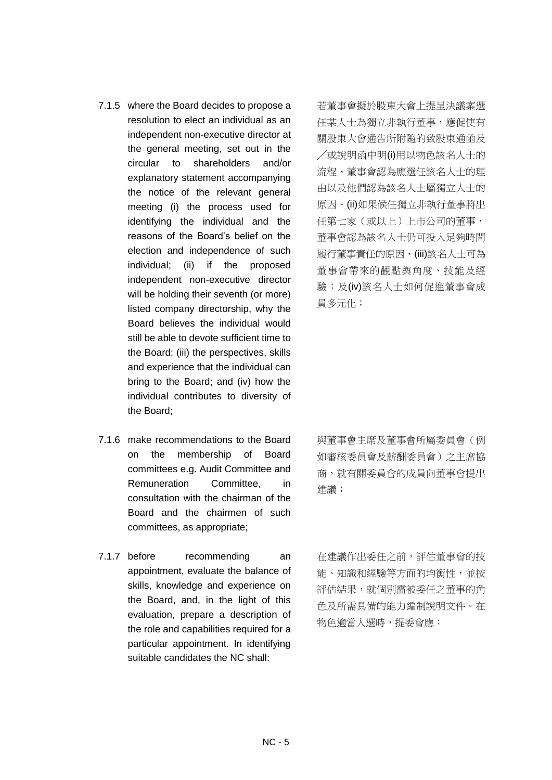- 7.1.5 where the Board decides to propose a resolution to elect an individual as an independent non-executive director at the general meeting, set out in the circular to shareholders and/or explanatory statement accompanying the notice of the relevant general meeting (i) the process used for identifying the individual and the reasons of the Board's belief on the election and independence of such individual; (ii) if the proposed independent non-executive director will be holding their seventh (or more) listed company directorship, why the Board believes the individual would still be able to devote sufficient time to the Board; (iii) the perspectives, skills and experience that the individual can bring to the Board; and (iv) how the individual contributes to diversity of the Board;
- 7.1.6 make recommendations to the Board on the membership of Board committees e.g. Audit Committee and Remuneration Committee, in consultation with the chairman of the Board and the chairmen of such committees, as appropriate;
- 7.1.7 before recommending an appointment, evaluate the balance of skills, knowledge and experience on the Board, and, in the light of this evaluation, prepare a description of the role and capabilities required for a particular appointment. In identifying suitable candidates the NC shall:

若董事會擬於股東大會上提呈決議案選 任某人士為獨立非執行董事,應促使有 關股東大會通告所附隨的致股東通函及 ╱或說明函中明(i)用以物色該名人士的 流程、董事會認為應選任該名人士的理 由以及他們認為該名人士屬獨立人士的 原因、(ii)如果候任獨立非執行董事將出 任第七家(或以上)上市公司的董事, 董事會認為該名人士仍可投入足夠時間 履行董事責任的原因、(iii)該名人士可為 董事會帶來的觀點與角度、技能及經 驗;及(iv)該名人士如何促進董事會成 員多元化;

與董事會主席及董事會所屬委員會(例 如審核委員會及薪酬委員會)之主席協 商,就有關委員會的成員向董事會提出 建議;

在建議作出委任之前,評估董事會的技 能、知識和經驗等方面的均衡性,並按 評估結果,就個別需被委任之董事的角 色及所需具備的能力編制說明文件。在 物色適當人選時,提委會應: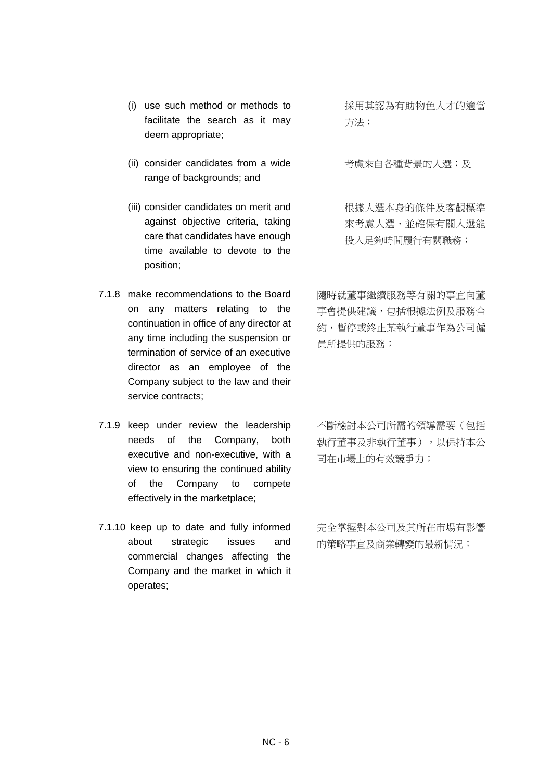- (i) use such method or methods to facilitate the search as it may deem appropriate;
- (ii) consider candidates from a wide range of backgrounds; and
- (iii) consider candidates on merit and against objective criteria, taking care that candidates have enough time available to devote to the position;
- 7.1.8 make recommendations to the Board on any matters relating to the continuation in office of any director at any time including the suspension or termination of service of an executive director as an employee of the Company subject to the law and their service contracts;
- 7.1.9 keep under review the leadership needs of the Company, both executive and non-executive, with a view to ensuring the continued ability of the Company to compete effectively in the marketplace;
- 7.1.10 keep up to date and fully informed about strategic issues and commercial changes affecting the Company and the market in which it operates;

採用其認為有助物色人才的適當 方法;

考慮來自各種背景的人選;及

根據人選本身的條件及客觀標準 來考慮人選,並確保有關人選能 投入足夠時間履行有關職務;

隨時就董事繼續服務等有關的事宜向董 事會提供建議,包括根據法例及服務合 約,暫停或終止某執行董事作為公司僱 員所提供的服務;

不斷檢討本公司所需的領導需要(包括 執行董事及非執行董事),以保持本公 司在市場上的有效競爭力;

完全掌握對本公司及其所在市場有影響 的策略事宜及商業轉變的最新情況;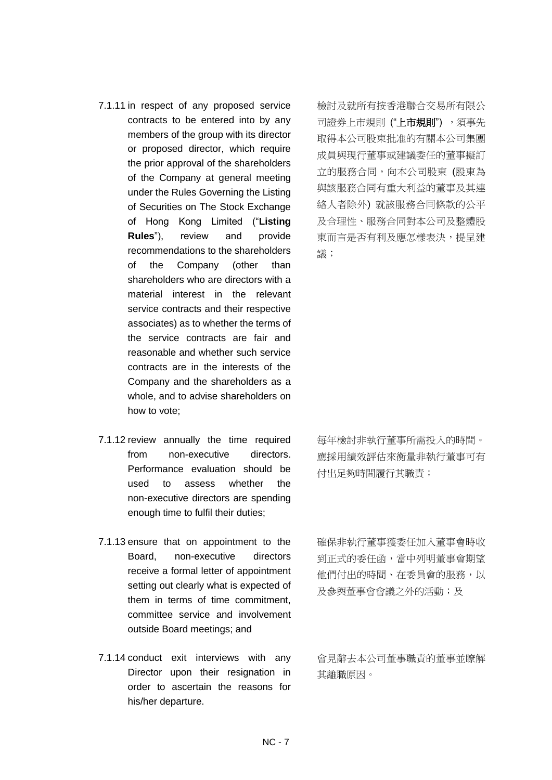- 7.1.11 in respect of any proposed service contracts to be entered into by any members of the group with its director or proposed director, which require the prior approval of the shareholders of the Company at general meeting under the Rules Governing the Listing of Securities on The Stock Exchange of Hong Kong Limited ("**Listing Rules**"), review and provide recommendations to the shareholders of the Company (other than shareholders who are directors with a material interest in the relevant service contracts and their respective associates) as to whether the terms of the service contracts are fair and reasonable and whether such service contracts are in the interests of the Company and the shareholders as a whole, and to advise shareholders on how to vote;
- 7.1.12 review annually the time required from non-executive directors. Performance evaluation should be used to assess whether the non-executive directors are spending enough time to fulfil their duties;
- 7.1.13 ensure that on appointment to the Board, non-executive directors receive a formal letter of appointment setting out clearly what is expected of them in terms of time commitment, committee service and involvement outside Board meetings; and
- 7.1.14 conduct exit interviews with any Director upon their resignation in order to ascertain the reasons for his/her departure.

檢討及就所有按香港聯合交易所有限公 司證券上市規則 ("**上市規則**") , 須事先 取得本公司股東批准的有關本公司集團 成員與現行董事或建議委任的董事擬訂 立的服務合同,向本公司股東 (股東為 與該服務合同有重大利益的董事及其連 絡人者除外) 就該服務合同條款的公平 及合理性、服務合同對本公司及整體股 東而言是否有利及應怎樣表決,提呈建 議;

每年檢討非執行董事所需投入的時間。 應採用績效評估來衡量非執行董事可有 付出足夠時間履行其職責;

確保非執行董事獲委任加入董事會時收 到正式的委任函,當中列明董事會期望 他們付出的時間、在委員會的服務,以 及參與董事會會議之外的活動;及

會見辭去本公司董事職責的董事並瞭解 其離職原因。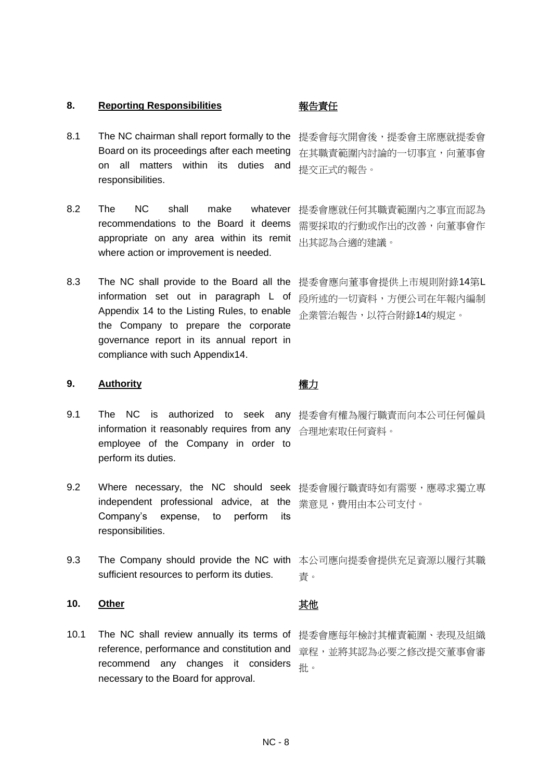### **8. Reporting Responsibilities** 報告責任

- 8.1 The NC chairman shall report formally to the 提委會每次開會後,提委會主席應就提委會 Board on its proceedings after each meeting on all matters within its duties and responsibilities.
- 8.2 The NC shall make whatever 提委會應就任何其職責範圍內之事宜而認為 recommendations to the Board it deems appropriate on any area within its remit where action or improvement is needed.
- 8.3 The NC shall provide to the Board all the information set out in paragraph L of Appendix 14 to the Listing Rules, to enable the Company to prepare the corporate governance report in its annual report in compliance with such Appendix14.

### **9. Authority** 權力

- 9.1 The NC is authorized to seek any 提委會有權為履行職責而向本公司任何僱員 information it reasonably requires from any 合理地索取任何資料。 employee of the Company in order to perform its duties.
- 9.2 Where necessary, the NC should seek 提委會履行職責時如有需要,應尋求獨立專 independent professional advice, at the <sub>業意見</sub>,費用由本公司支付。 Company's expense, to perform its responsibilities.
- 9.3 The Company should provide the NC with 本公司應向提委會提供充足資源以履行其職 sufficient resources to perform its duties.

### **10. <u>Other</u> 其他**

10.1 The NC shall review annually its terms of 提委會應每年檢討其權責範圍、表現及組織 reference, performance and constitution and recommend any changes it considers necessary to the Board for approval.

在其職責範圍內討論的一切事宜,向董事會 提交正式的報告。

需要採取的行動或作出的改善,向董事會作 出其認為合適的建議。

提委會應向董事會提供上市規則附錄14第L 段所述的一切資料,方便公司在年報內編制 企業管治報告,以符合附錄14的規定。

責。

章程,並將其認為必要之修改提交董事會審 批。